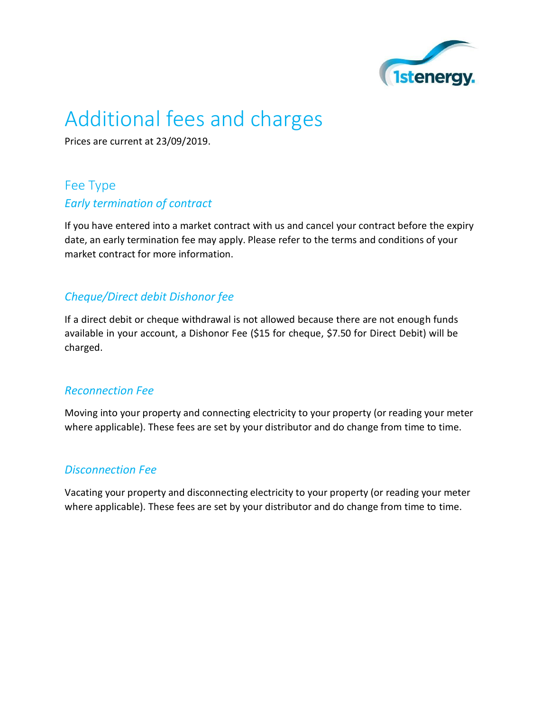

# Additional fees and charges

Prices are current at 23/09/2019.

## Fee Type *Early termination of contract*

If you have entered into a market contract with us and cancel your contract before the expiry date, an early termination fee may apply. Please refer to the terms and conditions of your market contract for more information.

#### *Cheque/Direct debit Dishonor fee*

If a direct debit or cheque withdrawal is not allowed because there are not enough funds available in your account, a Dishonor Fee (\$15 for cheque, \$7.50 for Direct Debit) will be charged.

#### *Reconnection Fee*

Moving into your property and connecting electricity to your property (or reading your meter where applicable). These fees are set by your distributor and do change from time to time.

#### *Disconnection Fee*

Vacating your property and disconnecting electricity to your property (or reading your meter where applicable). These fees are set by your distributor and do change from time to time.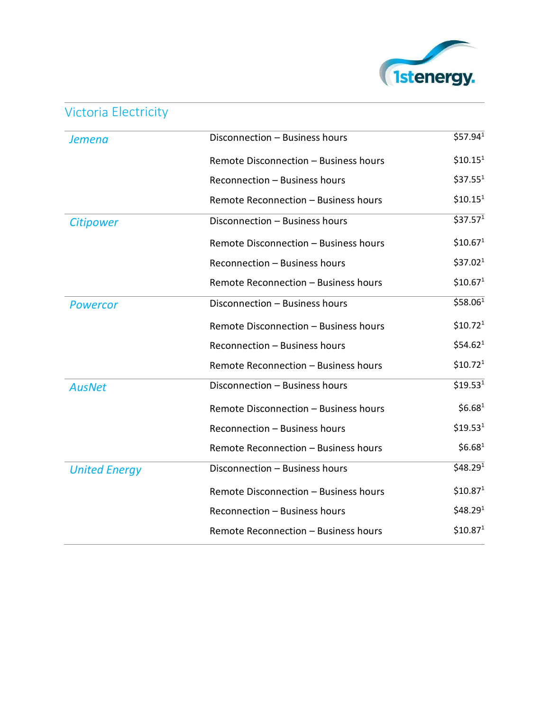

# Victoria Electricity

| Jemena               | Disconnection - Business hours        | \$57.94 <sup>1</sup> |
|----------------------|---------------------------------------|----------------------|
|                      | Remote Disconnection - Business hours | \$10.15 <sup>1</sup> |
|                      | Reconnection - Business hours         | \$37.55 <sup>1</sup> |
|                      | Remote Reconnection - Business hours  | \$10.15 <sup>1</sup> |
| <b>Citipower</b>     | Disconnection - Business hours        | \$37.57 <sup>1</sup> |
|                      | Remote Disconnection - Business hours | \$10.67 <sup>1</sup> |
|                      | Reconnection - Business hours         | \$37.02 <sup>1</sup> |
|                      | Remote Reconnection - Business hours  | \$10.67 <sup>1</sup> |
| <b>Powercor</b>      | Disconnection - Business hours        | \$58.061             |
|                      | Remote Disconnection - Business hours | \$10.72 <sup>1</sup> |
|                      | Reconnection - Business hours         | \$54.62 <sup>1</sup> |
|                      | Remote Reconnection - Business hours  | \$10.72 <sup>1</sup> |
| <b>AusNet</b>        | Disconnection - Business hours        | \$19.53 <sup>1</sup> |
|                      | Remote Disconnection - Business hours | \$6.68 <sup>1</sup>  |
|                      | Reconnection - Business hours         | \$19.53 <sup>1</sup> |
|                      | Remote Reconnection - Business hours  | \$6.68 <sup>1</sup>  |
| <b>United Energy</b> | Disconnection - Business hours        | \$48.29 <sup>1</sup> |
|                      | Remote Disconnection - Business hours | \$10.87 <sup>1</sup> |
|                      | Reconnection – Business hours         | \$48.29 <sup>1</sup> |
|                      | Remote Reconnection - Business hours  | \$10.87 <sup>1</sup> |
|                      |                                       |                      |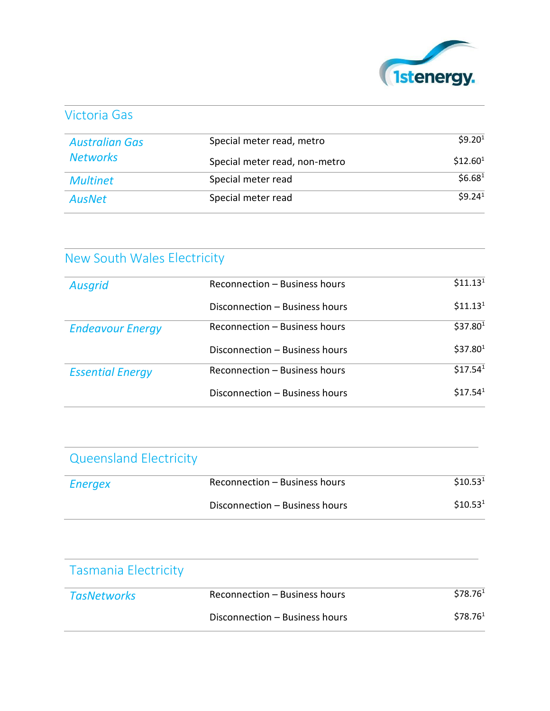

### Victoria Gas

| <b>Australian Gas</b><br><b>Networks</b> | Special meter read, metro     | \$9.20 <sup>1</sup>  |
|------------------------------------------|-------------------------------|----------------------|
|                                          | Special meter read, non-metro | \$12.60 <sup>1</sup> |
| <b>Multinet</b>                          | Special meter read            | \$6.68 <sup>1</sup>  |
| <b>AusNet</b>                            | Special meter read            | 59.24 <sup>1</sup>   |

# New South Wales Electricity

| <b>Ausgrid</b>          | Reconnection - Business hours  | \$11.13 <sup>1</sup> |
|-------------------------|--------------------------------|----------------------|
|                         | Disconnection – Business hours | \$11.13 <sup>1</sup> |
| <b>Endeavour Energy</b> | Reconnection – Business hours  | \$37.80 <sup>1</sup> |
|                         | Disconnection – Business hours | \$37.80 <sup>1</sup> |
| <b>Essential Energy</b> | Reconnection – Business hours  | \$17.54 <sup>1</sup> |
|                         | Disconnection – Business hours | \$17.54 <sup>1</sup> |

| <b>Queensland Electricity</b> |                                |                      |
|-------------------------------|--------------------------------|----------------------|
| <b>Energex</b>                | Reconnection - Business hours  | \$10.53 <sup>1</sup> |
|                               | Disconnection - Business hours | \$10.53 <sup>1</sup> |

| <b>Tasmania Electricity</b> |                                |                      |
|-----------------------------|--------------------------------|----------------------|
| <b>TasNetworks</b>          | Reconnection - Business hours  | \$78.76 <sup>1</sup> |
|                             | Disconnection – Business hours | \$78.761             |